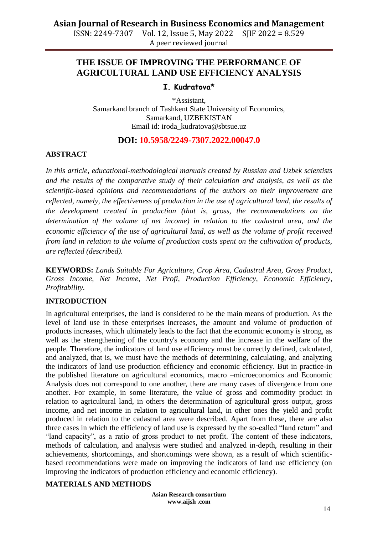A peer reviewed journal

# **THE ISSUE OF IMPROVING THE PERFORMANCE OF AGRICULTURAL LAND USE EFFICIENCY ANALYSIS**

## **I. Kudratova\***

\*Assistant, Samarkand branch of Tashkent State University of Economics, Samarkand, UZBEKISTAN Email id: [iroda\\_kudratova@sbtsue.uz](mailto:iroda_kudratova@sbtsue.uz)

# **DOI: 10.5958/2249-7307.2022.00047.0**

#### **ABSTRACT**

*In this article, educational-methodological manuals created by Russian and Uzbek scientists and the results of the comparative study of their calculation and analysis, as well as the scientific-based opinions and recommendations of the authors on their improvement are reflected, namely, the effectiveness of production in the use of agricultural land, the results of the development created in production (that is, gross, the recommendations on the determination of the volume of net income) in relation to the cadastral area, and the economic efficiency of the use of agricultural land, as well as the volume of profit received from land in relation to the volume of production costs spent on the cultivation of products, are reflected (described).*

**KEYWORDS:** *Lands Suitable For Agriculture, Crop Area, Cadastral Area, Gross Product, Gross Income, Net Income, Net Profi, Production Efficiency, Economic Efficiency, Profitability.*

# **INTRODUCTION**

In agricultural enterprises, the land is considered to be the main means of production. As the level of land use in these enterprises increases, the amount and volume of production of products increases, which ultimately leads to the fact that the economic economy is strong, as well as the strengthening of the country's economy and the increase in the welfare of the people. Therefore, the indicators of land use efficiency must be correctly defined, calculated, and analyzed, that is, we must have the methods of determining, calculating, and analyzing the indicators of land use production efficiency and economic efficiency. But in practice-in the published literature on agricultural economics, macro –microeconomics and Economic Analysis does not correspond to one another, there are many cases of divergence from one another. For example, in some literature, the value of gross and commodity product in relation to agricultural land, in others the determination of agricultural gross output, gross income, and net income in relation to agricultural land, in other ones the yield and profit produced in relation to the cadastral area were described. Apart from these, there are also three cases in which the efficiency of land use is expressed by the so-called "land return" and "land capacity", as a ratio of gross product to net profit. The content of these indicators, methods of calculation, and analysis were studied and analyzed in-depth, resulting in their achievements, shortcomings, and shortcomings were shown, as a result of which scientificbased recommendations were made on improving the indicators of land use efficiency (on improving the indicators of production efficiency and economic efficiency).

## **MATERIALS AND METHODS**

**Asian Research consortium www.aijsh .com**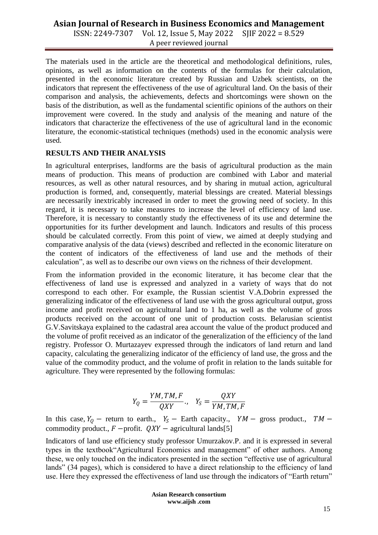# **Asian Journal of Research in Business Economics and Management**

ISSN: 2249-7307 Vol. 12, Issue 5, May 2022 SJIF 2022 = 8.529 A peer reviewed journal

The materials used in the article are the theoretical and methodological definitions, rules, opinions, as well as information on the contents of the formulas for their calculation, presented in the economic literature created by Russian and Uzbek scientists, on the indicators that represent the effectiveness of the use of agricultural land. On the basis of their comparison and analysis, the achievements, defects and shortcomings were shown on the basis of the distribution, as well as the fundamental scientific opinions of the authors on their improvement were covered. In the study and analysis of the meaning and nature of the indicators that characterize the effectiveness of the use of agricultural land in the economic literature, the economic-statistical techniques (methods) used in the economic analysis were used.

## **RESULTS AND THEIR ANALYSIS**

In agricultural enterprises, landforms are the basis of agricultural production as the main means of production. This means of production are combined with Labor and material resources, as well as other natural resources, and by sharing in mutual action, agricultural production is formed, and, consequently, material blessings are created. Material blessings are necessarily inextricably increased in order to meet the growing need of society. In this regard, it is necessary to take measures to increase the level of efficiency of land use. Therefore, it is necessary to constantly study the effectiveness of its use and determine the opportunities for its further development and launch. Indicators and results of this process should be calculated correctly. From this point of view, we aimed at deeply studying and comparative analysis of the data (views) described and reflected in the economic literature on the content of indicators of the effectiveness of land use and the methods of their calculation", as well as to describe our own views on the richness of their development.

From the information provided in the economic literature, it has become clear that the effectiveness of land use is expressed and analyzed in a variety of ways that do not correspond to each other. For example, the Russian scientist V.A.Dobrin expressed the generalizing indicator of the effectiveness of land use with the gross agricultural output, gross income and profit received on agricultural land to 1 ha, as well as the volume of gross products received on the account of one unit of production costs. Belarusian scientist G.V.Savitskaya explained to the cadastral area account the value of the product produced and the volume of profit received as an indicator of the generalization of the efficiency of the land registry. Professor O. Murtazayev expressed through the indicators of land return and land capacity, calculating the generalizing indicator of the efficiency of land use, the gross and the value of the commodity product, and the volume of profit in relation to the lands suitable for agriculture. They were represented by the following formulas:

$$
Y_Q = \frac{YM, TM, F}{QXY}, \quad Y_S = \frac{QXY}{YM, TM, F}
$$

In this case,  $Y_Q$  – return to earth.,  $Y_S$  – Earth capacity.,  $YM$  – gross product.,  $TM$  – commodity product.,  $F$  –profit.  $QXY$  – agricultural lands[5]

Indicators of land use efficiency study professor Umurzakov.P. and it is expressed in several types in the textbook"Agricultural Economics and management" of other authors. Among these, we only touched on the indicators presented in the section "effective use of agricultural lands" (34 pages), which is considered to have a direct relationship to the efficiency of land use. Here they expressed the effectiveness of land use through the indicators of "Earth return"

> **Asian Research consortium www.aijsh .com**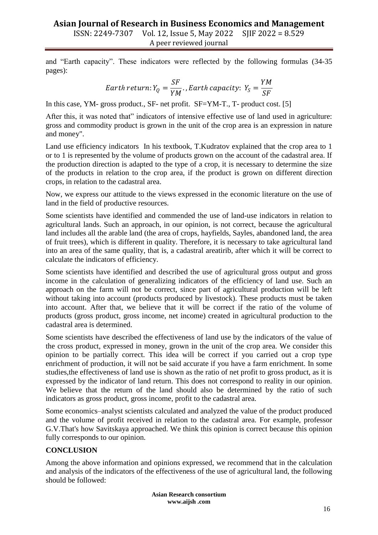and "Earth capacity". These indicators were reflected by the following formulas (34-35 pages):

*Earth return*: 
$$
Y_Q = \frac{SF}{YM}
$$
. *, Earth capacity*:  $Y_S = \frac{YM}{SF}$ 

In this case, YM- gross product., SF- net profit. SF=YM-T., T- product cost. [5]

After this, it was noted that" indicators of intensive effective use of land used in agriculture: gross and commodity product is grown in the unit of the crop area is an expression in nature and money".

Land use efficiency indicators In his textbook, T.Kudratov explained that the crop area to 1 or to 1 is represented by the volume of products grown on the account of the cadastral area. If the production direction is adapted to the type of a crop, it is necessary to determine the size of the products in relation to the crop area, if the product is grown on different direction crops, in relation to the cadastral area.

Now, we express our attitude to the views expressed in the economic literature on the use of land in the field of productive resources.

Some scientists have identified and commended the use of land-use indicators in relation to agricultural lands. Such an approach, in our opinion, is not correct, because the agricultural land includes all the arable land (the area of crops, hayfields, Sayles, abandoned land, the area of fruit trees), which is different in quality. Therefore, it is necessary to take agricultural land into an area of the same quality, that is, a cadastral areatirib, after which it will be correct to calculate the indicators of efficiency.

Some scientists have identified and described the use of agricultural gross output and gross income in the calculation of generalizing indicators of the efficiency of land use. Such an approach on the farm will not be correct, since part of agricultural production will be left without taking into account (products produced by livestock). These products must be taken into account. After that, we believe that it will be correct if the ratio of the volume of products (gross product, gross income, net income) created in agricultural production to the cadastral area is determined.

Some scientists have described the effectiveness of land use by the indicators of the value of the cross product, expressed in money, grown in the unit of the crop area. We consider this opinion to be partially correct. This idea will be correct if you carried out a crop type enrichment of production, it will not be said accurate if you have a farm enrichment. In some studies,the effectiveness of land use is shown as the ratio of net profit to gross product, as it is expressed by the indicator of land return. This does not correspond to reality in our opinion. We believe that the return of the land should also be determined by the ratio of such indicators as gross product, gross income, profit to the cadastral area.

Some economics–analyst scientists calculated and analyzed the value of the product produced and the volume of profit received in relation to the cadastral area. For example, professor G.V.That's how Savitskaya approached. We think this opinion is correct because this opinion fully corresponds to our opinion.

# **CONCLUSION**

Among the above information and opinions expressed, we recommend that in the calculation and analysis of the indicators of the effectiveness of the use of agricultural land, the following should be followed:

> **Asian Research consortium www.aijsh .com**